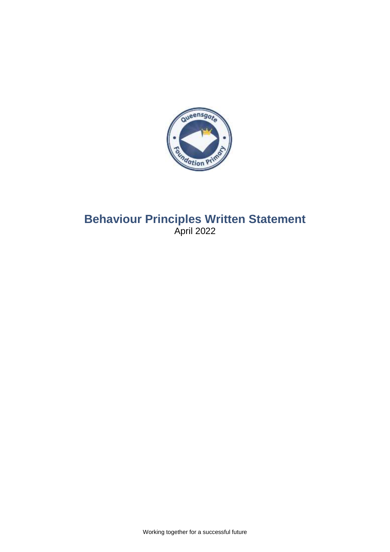

# **Behaviour Principles Written Statement** April 2022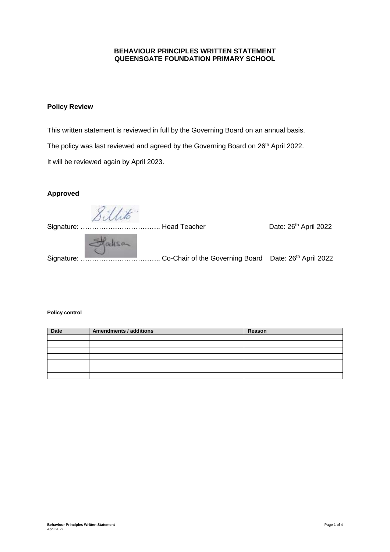#### **BEHAVIOUR PRINCIPLES WRITTEN STATEMENT QUEENSGATE FOUNDATION PRIMARY SCHOOL**

# **Policy Review**

This written statement is reviewed in full by the Governing Board on an annual basis. The policy was last reviewed and agreed by the Governing Board on 26<sup>th</sup> April 2022. It will be reviewed again by April 2023.

## **Approved**

Sillito.

Date: 26<sup>th</sup> April 2022 Signature: …………………………….. Head Teacher Date: 26 Statisan Signature: ……………………………………… Co-Chair of the Governing Board Date: 26<sup>th</sup> April 2022

#### **Policy control**

| Date | <b>Amendments / additions</b> | Reason |
|------|-------------------------------|--------|
|      |                               |        |
|      |                               |        |
|      |                               |        |
|      |                               |        |
|      |                               |        |
|      |                               |        |
|      |                               |        |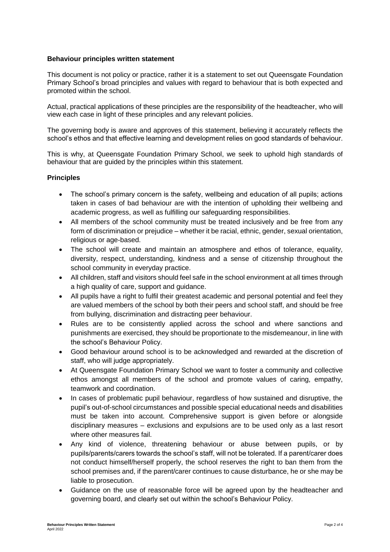#### **Behaviour principles written statement**

This document is not policy or practice, rather it is a statement to set out Queensgate Foundation Primary School's broad principles and values with regard to behaviour that is both expected and promoted within the school.

Actual, practical applications of these principles are the responsibility of the headteacher, who will view each case in light of these principles and any relevant policies.

The governing body is aware and approves of this statement, believing it accurately reflects the school's ethos and that effective learning and development relies on good standards of behaviour.

This is why, at Queensgate Foundation Primary School, we seek to uphold high standards of behaviour that are guided by the principles within this statement.

### **Principles**

- The school's primary concern is the safety, wellbeing and education of all pupils; actions taken in cases of bad behaviour are with the intention of upholding their wellbeing and academic progress, as well as fulfilling our safeguarding responsibilities.
- All members of the school community must be treated inclusively and be free from any form of discrimination or prejudice – whether it be racial, ethnic, gender, sexual orientation, religious or age-based.
- The school will create and maintain an atmosphere and ethos of tolerance, equality, diversity, respect, understanding, kindness and a sense of citizenship throughout the school community in everyday practice.
- All children, staff and visitors should feel safe in the school environment at all times through a high quality of care, support and guidance.
- All pupils have a right to fulfil their greatest academic and personal potential and feel they are valued members of the school by both their peers and school staff, and should be free from bullying, discrimination and distracting peer behaviour.
- Rules are to be consistently applied across the school and where sanctions and punishments are exercised, they should be proportionate to the misdemeanour, in line with the school's Behaviour Policy.
- Good behaviour around school is to be acknowledged and rewarded at the discretion of staff, who will judge appropriately.
- At Queensgate Foundation Primary School we want to foster a community and collective ethos amongst all members of the school and promote values of caring, empathy, teamwork and coordination.
- In cases of problematic pupil behaviour, regardless of how sustained and disruptive, the pupil's out-of-school circumstances and possible special educational needs and disabilities must be taken into account. Comprehensive support is given before or alongside disciplinary measures – exclusions and expulsions are to be used only as a last resort where other measures fail.
- Any kind of violence, threatening behaviour or abuse between pupils, or by pupils/parents/carers towards the school's staff, will not be tolerated. If a parent/carer does not conduct himself/herself properly, the school reserves the right to ban them from the school premises and, if the parent/carer continues to cause disturbance, he or she may be liable to prosecution.
- Guidance on the use of reasonable force will be agreed upon by the headteacher and governing board, and clearly set out within the school's Behaviour Policy.